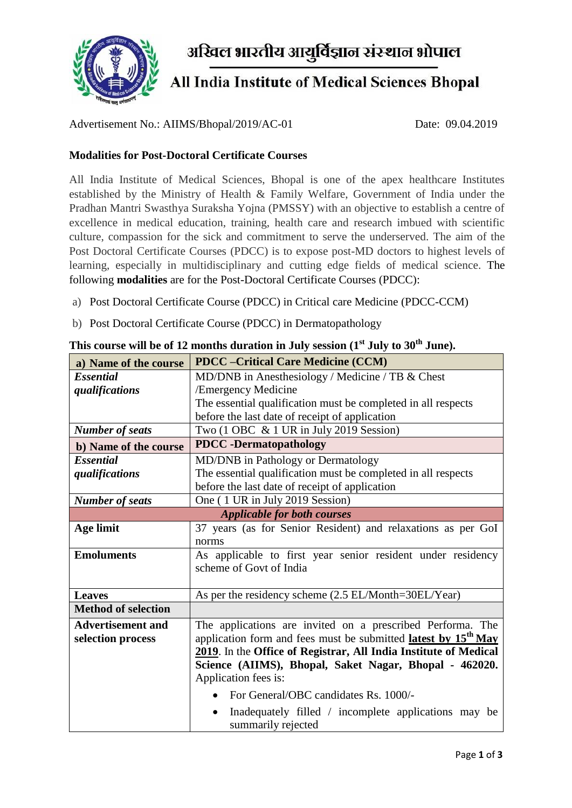

## अखिल भारतीय आयुर्विज्ञान संस्थान भोपाल

## All India Institute of Medical Sciences Bhopal

Advertisement No.: AIIMS/Bhopal/2019/AC-01 Date: 09.04.2019

## **Modalities for Post-Doctoral Certificate Courses**

All India Institute of Medical Sciences, Bhopal is one of the apex healthcare Institutes established by the Ministry of Health & Family Welfare, Government of India under the Pradhan Mantri Swasthya Suraksha Yojna (PMSSY) with an objective to establish a centre of excellence in medical education, training, health care and research imbued with scientific culture, compassion for the sick and commitment to serve the underserved. The aim of the Post Doctoral Certificate Courses (PDCC) is to expose post-MD doctors to highest levels of learning, especially in multidisciplinary and cutting edge fields of medical science. The following **modalities** are for the Post-Doctoral Certificate Courses (PDCC):

- a) Post Doctoral Certificate Course (PDCC) in Critical care Medicine (PDCC-CCM)
- b) Post Doctoral Certificate Course (PDCC) in Dermatopathology

| a) Name of the course              | <b>PDCC</b> – Critical Care Medicine (CCM)                                 |  |  |  |  |
|------------------------------------|----------------------------------------------------------------------------|--|--|--|--|
| <b>Essential</b>                   | $MD/DNB$ in Anesthesiology / Medicine / TB & Chest                         |  |  |  |  |
| qualifications                     | /Emergency Medicine                                                        |  |  |  |  |
|                                    | The essential qualification must be completed in all respects              |  |  |  |  |
|                                    | before the last date of receipt of application                             |  |  |  |  |
| <b>Number of seats</b>             | Two (1 OBC & 1 UR in July 2019 Session)                                    |  |  |  |  |
| b) Name of the course              | <b>PDCC</b> -Dermatopathology                                              |  |  |  |  |
| <b>Essential</b>                   | MD/DNB in Pathology or Dermatology                                         |  |  |  |  |
| qualifications                     | The essential qualification must be completed in all respects              |  |  |  |  |
|                                    | before the last date of receipt of application                             |  |  |  |  |
| <b>Number of seats</b>             | One (1 UR in July 2019 Session)                                            |  |  |  |  |
| <b>Applicable for both courses</b> |                                                                            |  |  |  |  |
| Age limit                          | 37 years (as for Senior Resident) and relaxations as per GoI               |  |  |  |  |
|                                    | norms                                                                      |  |  |  |  |
| <b>Emoluments</b>                  | As applicable to first year senior resident under residency                |  |  |  |  |
|                                    | scheme of Govt of India                                                    |  |  |  |  |
|                                    |                                                                            |  |  |  |  |
| <b>Leaves</b>                      | As per the residency scheme (2.5 EL/Month=30EL/Year)                       |  |  |  |  |
| <b>Method of selection</b>         |                                                                            |  |  |  |  |
| <b>Advertisement and</b>           | The applications are invited on a prescribed Performa. The                 |  |  |  |  |
| selection process                  | application form and fees must be submitted latest by 15 <sup>th</sup> May |  |  |  |  |
|                                    | 2019. In the Office of Registrar, All India Institute of Medical           |  |  |  |  |
|                                    | Science (AIIMS), Bhopal, Saket Nagar, Bhopal - 462020.                     |  |  |  |  |
|                                    | Application fees is:                                                       |  |  |  |  |
|                                    | For General/OBC candidates Rs. 1000/-                                      |  |  |  |  |
|                                    | Inadequately filled / incomplete applications may be<br>summarily rejected |  |  |  |  |

## **This course will be of 12 months duration in July session (1st July to 30th June).**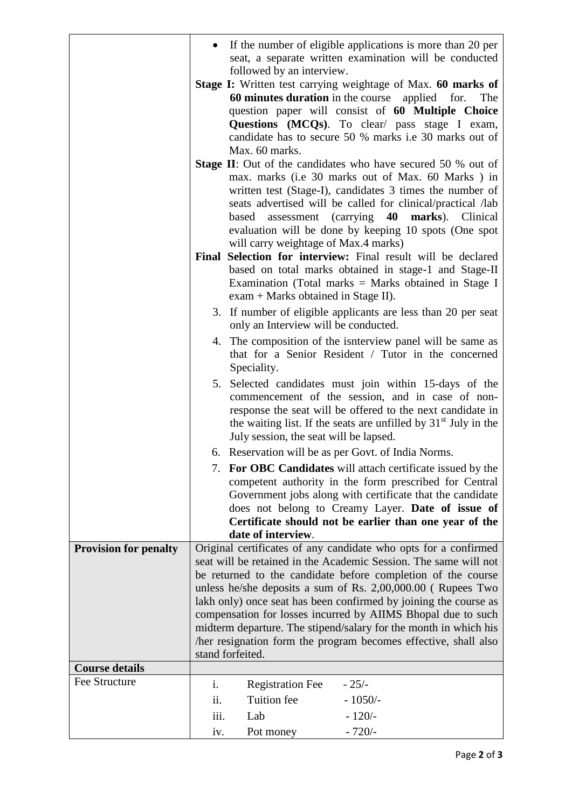|                              |                                                                                                                                    | If the number of eligible applications is more than 20 per<br>seat, a separate written examination will be conducted<br>followed by an interview.                                                                                                                                                                       |  |  |  |
|------------------------------|------------------------------------------------------------------------------------------------------------------------------------|-------------------------------------------------------------------------------------------------------------------------------------------------------------------------------------------------------------------------------------------------------------------------------------------------------------------------|--|--|--|
|                              | <b>Stage I:</b> Written test carrying weightage of Max. 60 marks of                                                                |                                                                                                                                                                                                                                                                                                                         |  |  |  |
|                              |                                                                                                                                    | <b>60 minutes duration</b> in the course applied for.<br>The<br>question paper will consist of 60 Multiple Choice<br>Questions (MCQs). To clear/ pass stage I exam,<br>candidate has to secure 50 % marks i.e 30 marks out of<br>Max. 60 marks.                                                                         |  |  |  |
|                              |                                                                                                                                    | <b>Stage II:</b> Out of the candidates who have secured 50 % out of<br>max. marks (i.e 30 marks out of Max. 60 Marks) in<br>written test (Stage-I), candidates 3 times the number of<br>seats advertised will be called for clinical/practical /lab                                                                     |  |  |  |
|                              |                                                                                                                                    | based assessment (carrying 40<br>marks). Clinical<br>evaluation will be done by keeping 10 spots (One spot<br>will carry weightage of Max.4 marks)<br>Final Selection for interview: Final result will be declared                                                                                                      |  |  |  |
|                              |                                                                                                                                    | based on total marks obtained in stage-1 and Stage-II<br>Examination (Total marks $=$ Marks obtained in Stage I<br>exam + Marks obtained in Stage II).                                                                                                                                                                  |  |  |  |
|                              |                                                                                                                                    | 3. If number of eligible applicants are less than 20 per seat<br>only an Interview will be conducted.                                                                                                                                                                                                                   |  |  |  |
|                              |                                                                                                                                    | 4. The composition of the isnterview panel will be same as<br>that for a Senior Resident / Tutor in the concerned<br>Speciality.                                                                                                                                                                                        |  |  |  |
|                              |                                                                                                                                    | 5. Selected candidates must join within 15-days of the<br>commencement of the session, and in case of non-<br>response the seat will be offered to the next candidate in<br>the waiting list. If the seats are unfilled by $31st$ July in the<br>July session, the seat will be lapsed.                                 |  |  |  |
|                              |                                                                                                                                    | 6. Reservation will be as per Govt. of India Norms.                                                                                                                                                                                                                                                                     |  |  |  |
|                              |                                                                                                                                    | 7. For OBC Candidates will attach certificate issued by the<br>competent authority in the form prescribed for Central<br>Government jobs along with certificate that the candidate<br>does not belong to Creamy Layer. Date of issue of<br>Certificate should not be earlier than one year of the<br>date of interview. |  |  |  |
| <b>Provision for penalty</b> |                                                                                                                                    | Original certificates of any candidate who opts for a confirmed                                                                                                                                                                                                                                                         |  |  |  |
|                              | seat will be retained in the Academic Session. The same will not<br>be returned to the candidate before completion of the course   |                                                                                                                                                                                                                                                                                                                         |  |  |  |
|                              | unless he/she deposits a sum of Rs. 2,00,000.00 (Rupees Two                                                                        |                                                                                                                                                                                                                                                                                                                         |  |  |  |
|                              | lakh only) once seat has been confirmed by joining the course as                                                                   |                                                                                                                                                                                                                                                                                                                         |  |  |  |
|                              | compensation for losses incurred by AIIMS Bhopal due to such                                                                       |                                                                                                                                                                                                                                                                                                                         |  |  |  |
|                              | midterm departure. The stipend/salary for the month in which his<br>her resignation form the program becomes effective, shall also |                                                                                                                                                                                                                                                                                                                         |  |  |  |
|                              | stand forfeited.                                                                                                                   |                                                                                                                                                                                                                                                                                                                         |  |  |  |
| <b>Course details</b>        |                                                                                                                                    |                                                                                                                                                                                                                                                                                                                         |  |  |  |
| Fee Structure                | i.                                                                                                                                 | $-25/$<br><b>Registration Fee</b>                                                                                                                                                                                                                                                                                       |  |  |  |
|                              | ii.                                                                                                                                | Tuition fee<br>$-1050/-$                                                                                                                                                                                                                                                                                                |  |  |  |
|                              | iii.                                                                                                                               | Lab<br>$-120/-$                                                                                                                                                                                                                                                                                                         |  |  |  |
|                              | iv.                                                                                                                                | $-720/-$<br>Pot money                                                                                                                                                                                                                                                                                                   |  |  |  |